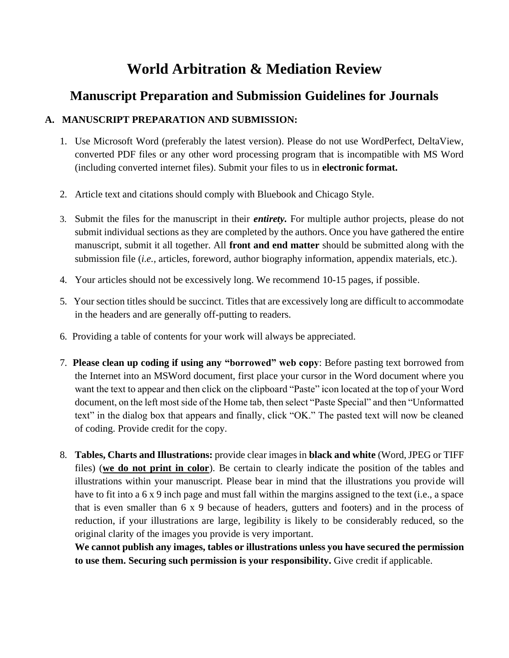# **World Arbitration & Mediation Review**

## **Manuscript Preparation and Submission Guidelines for Journals**

## **A. MANUSCRIPT PREPARATION AND SUBMISSION:**

- 1. Use Microsoft Word (preferably the latest version). Please do not use WordPerfect, DeltaView, converted PDF files or any other word processing program that is incompatible with MS Word (including converted internet files). Submit your files to us in **electronic format.**
- 2. Article text and citations should comply with Bluebook and Chicago Style.
- 3. Submit the files for the manuscript in their *entirety.* For multiple author projects, please do not submit individual sections as they are completed by the authors. Once you have gathered the entire manuscript, submit it all together. All **front and end matter** should be submitted along with the submission file (*i.e.,* articles, foreword, author biography information, appendix materials, etc.).
- 4. Your articles should not be excessively long. We recommend 10-15 pages, if possible.
- 5. Your section titles should be succinct. Titles that are excessively long are difficult to accommodate in the headers and are generally off-putting to readers.
- 6. Providing a table of contents for your work will always be appreciated.
- 7. **Please clean up coding if using any "borrowed" web copy**: Before pasting text borrowed from the Internet into an MSWord document, first place your cursor in the Word document where you want the text to appear and then click on the clipboard "Paste" icon located at the top of your Word document, on the left most side of the Home tab, then select "Paste Special" and then "Unformatted text" in the dialog box that appears and finally, click "OK." The pasted text will now be cleaned of coding. Provide credit for the copy.
- 8. **Tables, Charts and Illustrations:** provide clear images in **black and white** (Word, JPEG or TIFF files) (**we do not print in color**). Be certain to clearly indicate the position of the tables and illustrations within your manuscript. Please bear in mind that the illustrations you provide will have to fit into a 6 x 9 inch page and must fall within the margins assigned to the text (i.e., a space that is even smaller than 6 x 9 because of headers, gutters and footers) and in the process of reduction, if your illustrations are large, legibility is likely to be considerably reduced, so the original clarity of the images you provide is very important.

**We cannot publish any images, tables or illustrations unless you have secured the permission to use them. Securing such permission is your responsibility.** Give credit if applicable.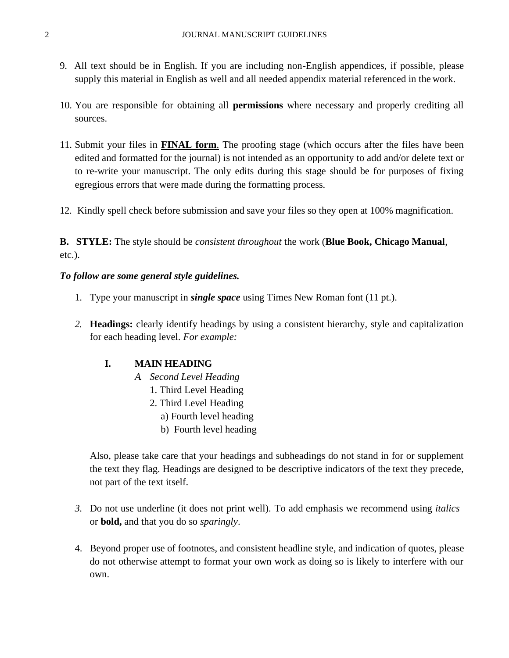- 9. All text should be in English. If you are including non-English appendices, if possible, please supply this material in English as well and all needed appendix material referenced in the work.
- 10. You are responsible for obtaining all **permissions** where necessary and properly crediting all sources.
- 11. Submit your files in **FINAL form**. The proofing stage (which occurs after the files have been edited and formatted for the journal) is not intended as an opportunity to add and/or delete text or to re-write your manuscript. The only edits during this stage should be for purposes of fixing egregious errors that were made during the formatting process.
- 12. Kindly spell check before submission and save your files so they open at 100% magnification.

**B. STYLE:** The style should be *consistent throughout* the work (**Blue Book, Chicago Manual**, etc.).

#### *To follow are some general style guidelines.*

- 1. Type your manuscript in *single space* using Times New Roman font (11 pt.).
- *2.* **Headings:** clearly identify headings by using a consistent hierarchy, style and capitalization for each heading level. *For example:*

#### **I. MAIN HEADING**

- *A. Second Level Heading*
	- 1. Third Level Heading
	- 2. Third Level Heading
		- a) Fourth level heading
		- b) Fourth level heading

Also, please take care that your headings and subheadings do not stand in for or supplement the text they flag. Headings are designed to be descriptive indicators of the text they precede, not part of the text itself.

- *3.* Do not use underline (it does not print well). To add emphasis we recommend using *italics* or **bold,** and that you do so *sparingly*.
- 4. Beyond proper use of footnotes, and consistent headline style, and indication of quotes, please do not otherwise attempt to format your own work as doing so is likely to interfere with our own.